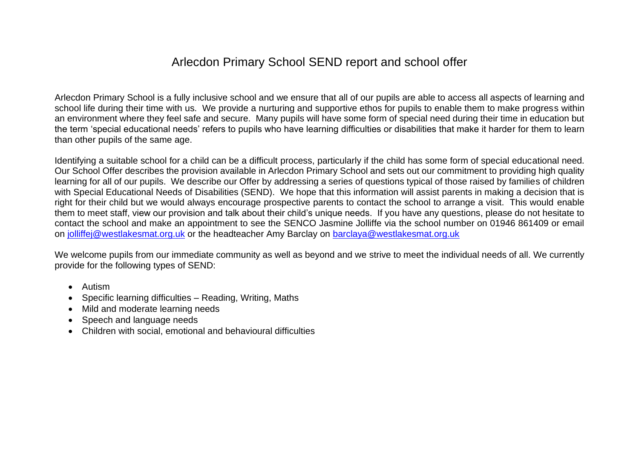# Arlecdon Primary School SEND report and school offer

Arlecdon Primary School is a fully inclusive school and we ensure that all of our pupils are able to access all aspects of learning and school life during their time with us. We provide a nurturing and supportive ethos for pupils to enable them to make progress within an environment where they feel safe and secure. Many pupils will have some form of special need during their time in education but the term 'special educational needs' refers to pupils who have learning difficulties or disabilities that make it harder for them to learn than other pupils of the same age.

Identifying a suitable school for a child can be a difficult process, particularly if the child has some form of special educational need. Our School Offer describes the provision available in Arlecdon Primary School and sets out our commitment to providing high quality learning for all of our pupils. We describe our Offer by addressing a series of questions typical of those raised by families of children with Special Educational Needs of Disabilities (SEND). We hope that this information will assist parents in making a decision that is right for their child but we would always encourage prospective parents to contact the school to arrange a visit. This would enable them to meet staff, view our provision and talk about their child's unique needs. If you have any questions, please do not hesitate to contact the school and make an appointment to see the SENCO Jasmine Jolliffe via the school number on 01946 861409 or email on [jolliffej@westlakesmat.org.uk](mailto:jolliffej@westlakesmat.org.uk) or the headteacher Amy Barclay on [barclaya@westlakesmat.org.uk](mailto:barclaya@westlakesmat.org.uk)

We welcome pupils from our immediate community as well as beyond and we strive to meet the individual needs of all. We currently provide for the following types of SEND:

- Autism
- Specific learning difficulties Reading, Writing, Maths
- Mild and moderate learning needs
- Speech and language needs
- Children with social, emotional and behavioural difficulties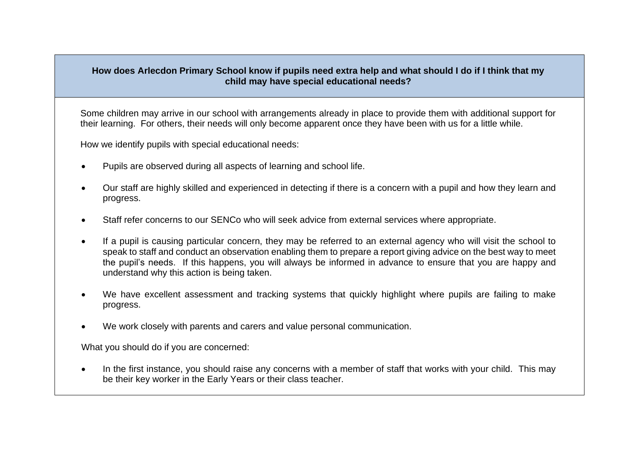## **How does Arlecdon Primary School know if pupils need extra help and what should I do if I think that my child may have special educational needs?**

Some children may arrive in our school with arrangements already in place to provide them with additional support for their learning. For others, their needs will only become apparent once they have been with us for a little while.

How we identify pupils with special educational needs:

- Pupils are observed during all aspects of learning and school life.
- Our staff are highly skilled and experienced in detecting if there is a concern with a pupil and how they learn and progress.
- Staff refer concerns to our SENCo who will seek advice from external services where appropriate.
- If a pupil is causing particular concern, they may be referred to an external agency who will visit the school to speak to staff and conduct an observation enabling them to prepare a report giving advice on the best way to meet the pupil's needs. If this happens, you will always be informed in advance to ensure that you are happy and understand why this action is being taken.
- We have excellent assessment and tracking systems that quickly highlight where pupils are failing to make progress.
- We work closely with parents and carers and value personal communication.

What you should do if you are concerned:

• In the first instance, you should raise any concerns with a member of staff that works with your child. This may be their key worker in the Early Years or their class teacher.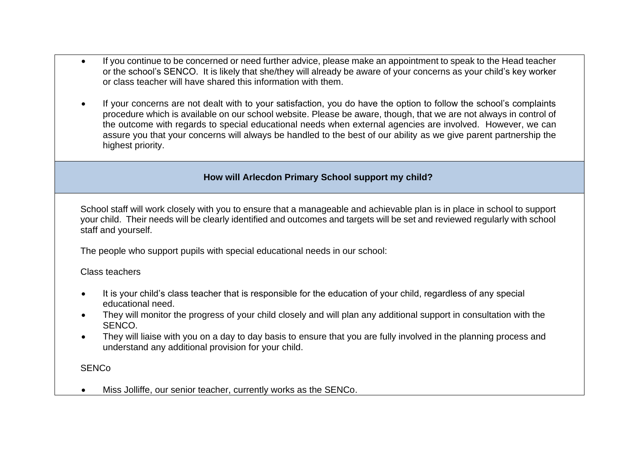- If you continue to be concerned or need further advice, please make an appointment to speak to the Head teacher or the school's SENCO. It is likely that she/they will already be aware of your concerns as your child's key worker or class teacher will have shared this information with them.
- If your concerns are not dealt with to your satisfaction, you do have the option to follow the school's complaints procedure which is available on our school website. Please be aware, though, that we are not always in control of the outcome with regards to special educational needs when external agencies are involved. However, we can assure you that your concerns will always be handled to the best of our ability as we give parent partnership the highest priority.

# **How will Arlecdon Primary School support my child?**

School staff will work closely with you to ensure that a manageable and achievable plan is in place in school to support your child. Their needs will be clearly identified and outcomes and targets will be set and reviewed regularly with school staff and yourself.

The people who support pupils with special educational needs in our school:

## Class teachers

- It is your child's class teacher that is responsible for the education of your child, regardless of any special educational need.
- They will monitor the progress of your child closely and will plan any additional support in consultation with the SENCO.
- They will liaise with you on a day to day basis to ensure that you are fully involved in the planning process and understand any additional provision for your child.

**SENCo** 

• Miss Jolliffe, our senior teacher, currently works as the SENCo.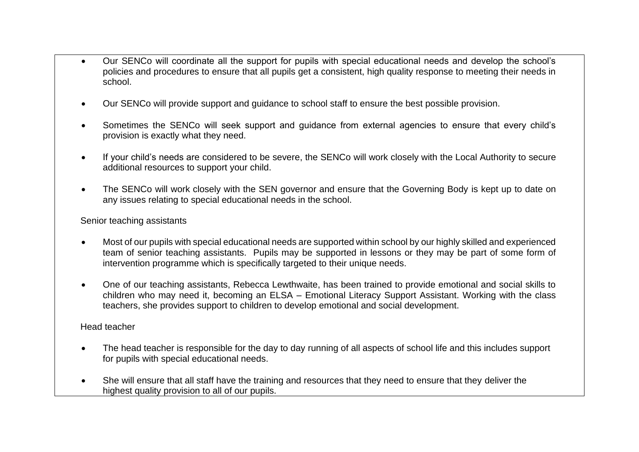- Our SENCo will coordinate all the support for pupils with special educational needs and develop the school's policies and procedures to ensure that all pupils get a consistent, high quality response to meeting their needs in school.
- Our SENCo will provide support and guidance to school staff to ensure the best possible provision.
- Sometimes the SENCo will seek support and guidance from external agencies to ensure that every child's provision is exactly what they need.
- If your child's needs are considered to be severe, the SENCo will work closely with the Local Authority to secure additional resources to support your child.
- The SENCo will work closely with the SEN governor and ensure that the Governing Body is kept up to date on any issues relating to special educational needs in the school.

## Senior teaching assistants

- Most of our pupils with special educational needs are supported within school by our highly skilled and experienced team of senior teaching assistants. Pupils may be supported in lessons or they may be part of some form of intervention programme which is specifically targeted to their unique needs.
- One of our teaching assistants, Rebecca Lewthwaite, has been trained to provide emotional and social skills to children who may need it, becoming an ELSA – Emotional Literacy Support Assistant. Working with the class teachers, she provides support to children to develop emotional and social development.

## Head teacher

- The head teacher is responsible for the day to day running of all aspects of school life and this includes support for pupils with special educational needs.
- She will ensure that all staff have the training and resources that they need to ensure that they deliver the highest quality provision to all of our pupils.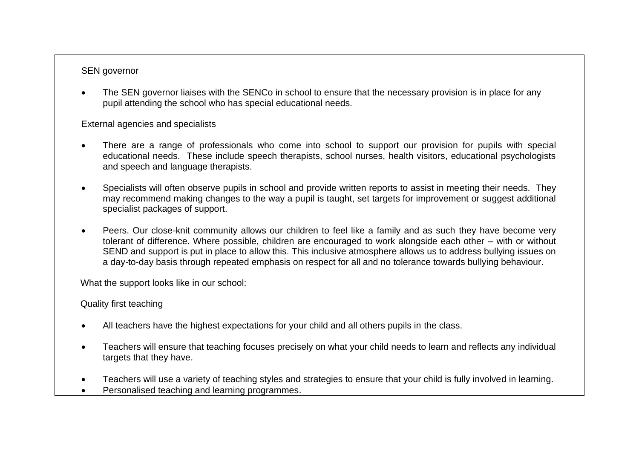# SEN governor

• The SEN governor liaises with the SENCo in school to ensure that the necessary provision is in place for any pupil attending the school who has special educational needs.

External agencies and specialists

- There are a range of professionals who come into school to support our provision for pupils with special educational needs. These include speech therapists, school nurses, health visitors, educational psychologists and speech and language therapists.
- Specialists will often observe pupils in school and provide written reports to assist in meeting their needs. They may recommend making changes to the way a pupil is taught, set targets for improvement or suggest additional specialist packages of support.
- Peers. Our close-knit community allows our children to feel like a family and as such they have become very tolerant of difference. Where possible, children are encouraged to work alongside each other – with or without SEND and support is put in place to allow this. This inclusive atmosphere allows us to address bullying issues on a day-to-day basis through repeated emphasis on respect for all and no tolerance towards bullying behaviour.

What the support looks like in our school:

Quality first teaching

- All teachers have the highest expectations for your child and all others pupils in the class.
- Teachers will ensure that teaching focuses precisely on what your child needs to learn and reflects any individual targets that they have.
- Teachers will use a variety of teaching styles and strategies to ensure that your child is fully involved in learning.
- Personalised teaching and learning programmes.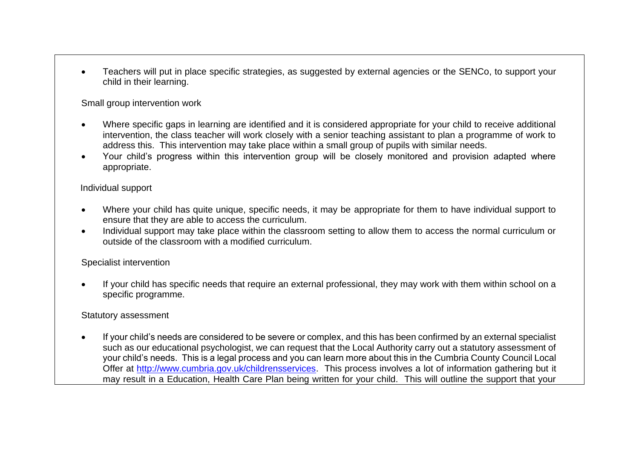• Teachers will put in place specific strategies, as suggested by external agencies or the SENCo, to support your child in their learning.

Small group intervention work

- Where specific gaps in learning are identified and it is considered appropriate for your child to receive additional intervention, the class teacher will work closely with a senior teaching assistant to plan a programme of work to address this. This intervention may take place within a small group of pupils with similar needs.
- Your child's progress within this intervention group will be closely monitored and provision adapted where appropriate.

## Individual support

- Where your child has quite unique, specific needs, it may be appropriate for them to have individual support to ensure that they are able to access the curriculum.
- Individual support may take place within the classroom setting to allow them to access the normal curriculum or outside of the classroom with a modified curriculum.

#### Specialist intervention

• If your child has specific needs that require an external professional, they may work with them within school on a specific programme.

## Statutory assessment

• If your child's needs are considered to be severe or complex, and this has been confirmed by an external specialist such as our educational psychologist, we can request that the Local Authority carry out a statutory assessment of your child's needs. This is a legal process and you can learn more about this in the Cumbria County Council Local Offer at [http://www.cumbria.gov.uk/childrensservices.](http://www.cumbria.gov.uk/childrensservices) This process involves a lot of information gathering but it may result in a Education, Health Care Plan being written for your child. This will outline the support that your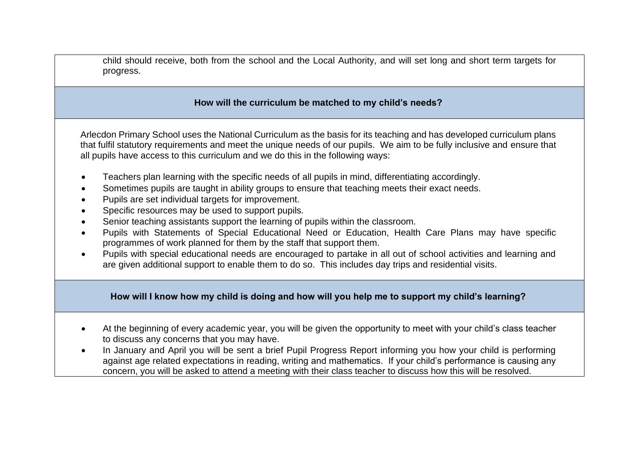child should receive, both from the school and the Local Authority, and will set long and short term targets for progress.

## **How will the curriculum be matched to my child's needs?**

Arlecdon Primary School uses the National Curriculum as the basis for its teaching and has developed curriculum plans that fulfil statutory requirements and meet the unique needs of our pupils. We aim to be fully inclusive and ensure that all pupils have access to this curriculum and we do this in the following ways:

- Teachers plan learning with the specific needs of all pupils in mind, differentiating accordingly.
- Sometimes pupils are taught in ability groups to ensure that teaching meets their exact needs.
- Pupils are set individual targets for improvement.
- Specific resources may be used to support pupils.
- Senior teaching assistants support the learning of pupils within the classroom.
- Pupils with Statements of Special Educational Need or Education, Health Care Plans may have specific programmes of work planned for them by the staff that support them.
- Pupils with special educational needs are encouraged to partake in all out of school activities and learning and are given additional support to enable them to do so. This includes day trips and residential visits.

## **How will I know how my child is doing and how will you help me to support my child's learning?**

- At the beginning of every academic year, you will be given the opportunity to meet with your child's class teacher to discuss any concerns that you may have.
- In January and April you will be sent a brief Pupil Progress Report informing you how your child is performing against age related expectations in reading, writing and mathematics. If your child's performance is causing any concern, you will be asked to attend a meeting with their class teacher to discuss how this will be resolved.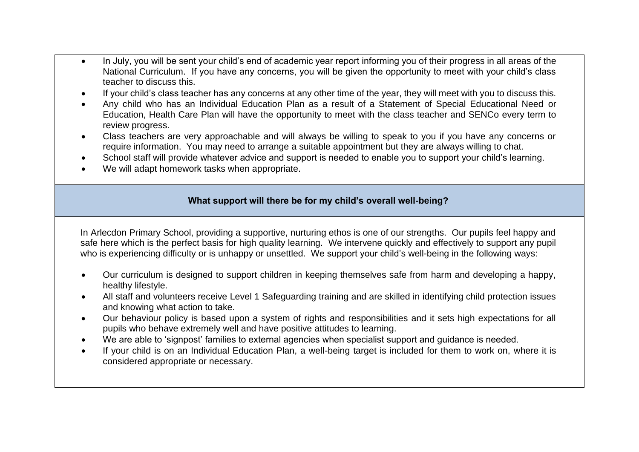- In July, you will be sent your child's end of academic year report informing you of their progress in all areas of the National Curriculum. If you have any concerns, you will be given the opportunity to meet with your child's class teacher to discuss this.
- If your child's class teacher has any concerns at any other time of the year, they will meet with you to discuss this.
- Any child who has an Individual Education Plan as a result of a Statement of Special Educational Need or Education, Health Care Plan will have the opportunity to meet with the class teacher and SENCo every term to review progress.
- Class teachers are very approachable and will always be willing to speak to you if you have any concerns or require information. You may need to arrange a suitable appointment but they are always willing to chat.
- School staff will provide whatever advice and support is needed to enable you to support your child's learning.
- We will adapt homework tasks when appropriate.

## **What support will there be for my child's overall well-being?**

In Arlecdon Primary School, providing a supportive, nurturing ethos is one of our strengths. Our pupils feel happy and safe here which is the perfect basis for high quality learning. We intervene quickly and effectively to support any pupil who is experiencing difficulty or is unhappy or unsettled. We support your child's well-being in the following ways:

- Our curriculum is designed to support children in keeping themselves safe from harm and developing a happy, healthy lifestyle.
- All staff and volunteers receive Level 1 Safeguarding training and are skilled in identifying child protection issues and knowing what action to take.
- Our behaviour policy is based upon a system of rights and responsibilities and it sets high expectations for all pupils who behave extremely well and have positive attitudes to learning.
- We are able to 'signpost' families to external agencies when specialist support and guidance is needed.
- If your child is on an Individual Education Plan, a well-being target is included for them to work on, where it is considered appropriate or necessary.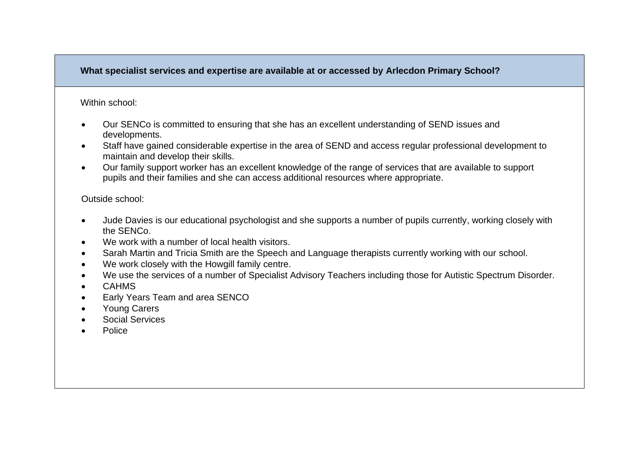# **What specialist services and expertise are available at or accessed by Arlecdon Primary School?**

#### Within school:

- Our SENCo is committed to ensuring that she has an excellent understanding of SEND issues and developments.
- Staff have gained considerable expertise in the area of SEND and access regular professional development to maintain and develop their skills.
- Our family support worker has an excellent knowledge of the range of services that are available to support pupils and their families and she can access additional resources where appropriate.

## Outside school:

- Jude Davies is our educational psychologist and she supports a number of pupils currently, working closely with the SENCo.
- We work with a number of local health visitors.
- Sarah Martin and Tricia Smith are the Speech and Language therapists currently working with our school.
- We work closely with the Howgill family centre.
- We use the services of a number of Specialist Advisory Teachers including those for Autistic Spectrum Disorder.
- CAHMS
- Early Years Team and area SENCO
- Young Carers
- Social Services
- Police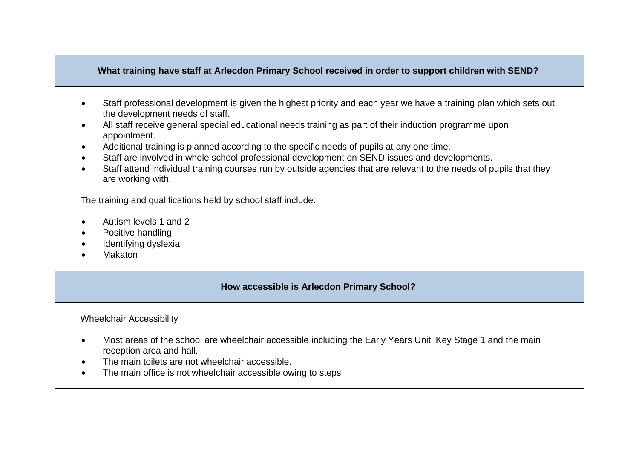## **What training have staff at Arlecdon Primary School received in order to support children with SEND?**

- Staff professional development is given the highest priority and each year we have a training plan which sets out the development needs of staff.
- All staff receive general special educational needs training as part of their induction programme upon appointment.
- Additional training is planned according to the specific needs of pupils at any one time.
- Staff are involved in whole school professional development on SEND issues and developments.
- Staff attend individual training courses run by outside agencies that are relevant to the needs of pupils that they are working with.

The training and qualifications held by school staff include:

- Autism levels 1 and 2
- Positive handling
- Identifying dyslexia
- Makaton

## **How accessible is Arlecdon Primary School?**

#### Wheelchair Accessibility

- Most areas of the school are wheelchair accessible including the Early Years Unit, Key Stage 1 and the main reception area and hall.
- The main toilets are not wheelchair accessible.
- The main office is not wheelchair accessible owing to steps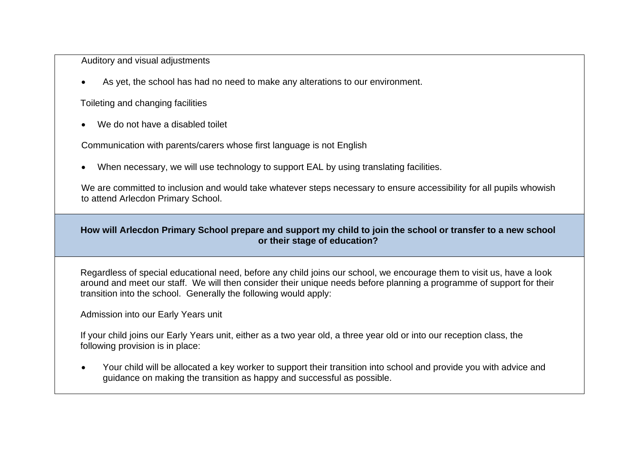Auditory and visual adjustments

• As yet, the school has had no need to make any alterations to our environment.

Toileting and changing facilities

• We do not have a disabled toilet

Communication with parents/carers whose first language is not English

• When necessary, we will use technology to support EAL by using translating facilities.

We are committed to inclusion and would take whatever steps necessary to ensure accessibility for all pupils whowish to attend Arlecdon Primary School.

## **How will Arlecdon Primary School prepare and support my child to join the school or transfer to a new school or their stage of education?**

Regardless of special educational need, before any child joins our school, we encourage them to visit us, have a look around and meet our staff. We will then consider their unique needs before planning a programme of support for their transition into the school. Generally the following would apply:

Admission into our Early Years unit

If your child joins our Early Years unit, either as a two year old, a three year old or into our reception class, the following provision is in place:

• Your child will be allocated a key worker to support their transition into school and provide you with advice and guidance on making the transition as happy and successful as possible.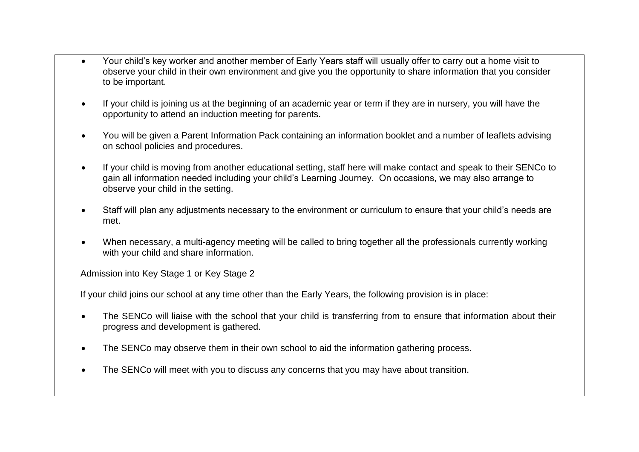- Your child's key worker and another member of Early Years staff will usually offer to carry out a home visit to observe your child in their own environment and give you the opportunity to share information that you consider to be important.
- If your child is joining us at the beginning of an academic year or term if they are in nursery, you will have the opportunity to attend an induction meeting for parents.
- You will be given a Parent Information Pack containing an information booklet and a number of leaflets advising on school policies and procedures.
- If your child is moving from another educational setting, staff here will make contact and speak to their SENCo to gain all information needed including your child's Learning Journey. On occasions, we may also arrange to observe your child in the setting.
- Staff will plan any adjustments necessary to the environment or curriculum to ensure that your child's needs are met.
- When necessary, a multi-agency meeting will be called to bring together all the professionals currently working with your child and share information.

Admission into Key Stage 1 or Key Stage 2

If your child joins our school at any time other than the Early Years, the following provision is in place:

- The SENCo will liaise with the school that your child is transferring from to ensure that information about their progress and development is gathered.
- The SENCo may observe them in their own school to aid the information gathering process.
- The SENCo will meet with you to discuss any concerns that you may have about transition.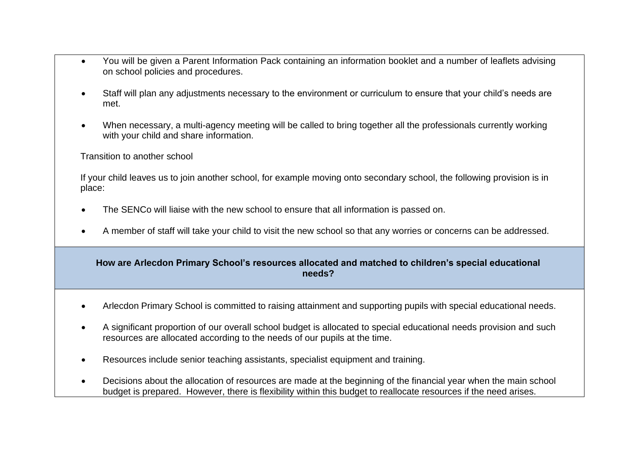- You will be given a Parent Information Pack containing an information booklet and a number of leaflets advising on school policies and procedures.
- Staff will plan any adjustments necessary to the environment or curriculum to ensure that your child's needs are met.
- When necessary, a multi-agency meeting will be called to bring together all the professionals currently working with your child and share information.

Transition to another school

If your child leaves us to join another school, for example moving onto secondary school, the following provision is in place:

- The SENCo will liaise with the new school to ensure that all information is passed on.
- A member of staff will take your child to visit the new school so that any worries or concerns can be addressed.

## **How are Arlecdon Primary School's resources allocated and matched to children's special educational needs?**

- Arlecdon Primary School is committed to raising attainment and supporting pupils with special educational needs.
- A significant proportion of our overall school budget is allocated to special educational needs provision and such resources are allocated according to the needs of our pupils at the time.
- Resources include senior teaching assistants, specialist equipment and training.
- Decisions about the allocation of resources are made at the beginning of the financial year when the main school budget is prepared. However, there is flexibility within this budget to reallocate resources if the need arises.